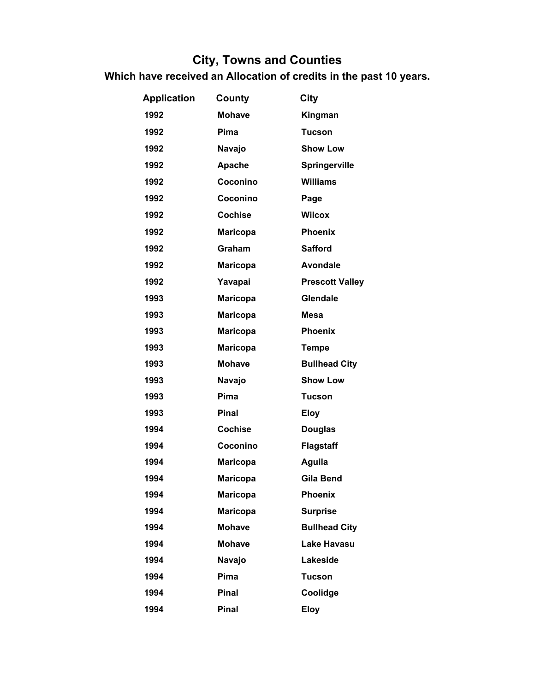| <b>Application</b> | <b>County</b>   | City                   |
|--------------------|-----------------|------------------------|
| 1992               | <b>Mohave</b>   | Kingman                |
| 1992               | Pima            | <b>Tucson</b>          |
| 1992               | Navajo          | <b>Show Low</b>        |
| 1992               | Apache          | Springerville          |
| 1992               | Coconino        | <b>Williams</b>        |
| 1992               | Coconino        | Page                   |
| 1992               | <b>Cochise</b>  | <b>Wilcox</b>          |
| 1992               | <b>Maricopa</b> | <b>Phoenix</b>         |
| 1992               | Graham          | <b>Safford</b>         |
| 1992               | <b>Maricopa</b> | <b>Avondale</b>        |
| 1992               | Yavapai         | <b>Prescott Valley</b> |
| 1993               | <b>Maricopa</b> | <b>Glendale</b>        |
| 1993               | <b>Maricopa</b> | <b>Mesa</b>            |
| 1993               | <b>Maricopa</b> | <b>Phoenix</b>         |
| 1993               | <b>Maricopa</b> | <b>Tempe</b>           |
| 1993               | <b>Mohave</b>   | <b>Bullhead City</b>   |
| 1993               | Navajo          | <b>Show Low</b>        |
| 1993               | Pima            | <b>Tucson</b>          |
| 1993               | <b>Pinal</b>    | <b>Eloy</b>            |
| 1994               | <b>Cochise</b>  | <b>Douglas</b>         |
| 1994               | Coconino        | <b>Flagstaff</b>       |
| 1994               | <b>Maricopa</b> | Aguila                 |
| 1994               | <b>Maricopa</b> | Gila Bend              |
| 1994               | <b>Maricopa</b> | <b>Phoenix</b>         |
| 1994               | <b>Maricopa</b> | <b>Surprise</b>        |
| 1994               | <b>Mohave</b>   | <b>Bullhead City</b>   |
| 1994               | <b>Mohave</b>   | <b>Lake Havasu</b>     |
| 1994               | Navajo          | Lakeside               |
| 1994               | Pima            | <b>Tucson</b>          |
| 1994               | Pinal           | Coolidge               |
| 1994               | <b>Pinal</b>    | <b>Eloy</b>            |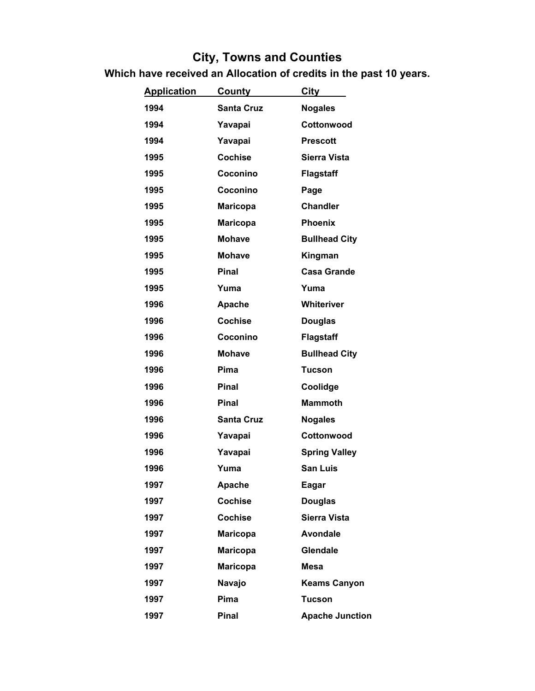| <b>Application</b> | <u>County</u>     | City                   |
|--------------------|-------------------|------------------------|
| 1994               | <b>Santa Cruz</b> | <b>Nogales</b>         |
| 1994               | Yavapai           | Cottonwood             |
| 1994               | Yavapai           | <b>Prescott</b>        |
| 1995               | <b>Cochise</b>    | Sierra Vista           |
| 1995               | Coconino          | Flagstaff              |
| 1995               | Coconino          | Page                   |
| 1995               | <b>Maricopa</b>   | <b>Chandler</b>        |
| 1995               | <b>Maricopa</b>   | <b>Phoenix</b>         |
| 1995               | <b>Mohave</b>     | <b>Bullhead City</b>   |
| 1995               | <b>Mohave</b>     | Kingman                |
| 1995               | Pinal             | <b>Casa Grande</b>     |
| 1995               | Yuma              | Yuma                   |
| 1996               | Apache            | Whiteriver             |
| 1996               | <b>Cochise</b>    | <b>Douglas</b>         |
| 1996               | Coconino          | Flagstaff              |
| 1996               | <b>Mohave</b>     | <b>Bullhead City</b>   |
| 1996               | Pima              | Tucson                 |
| 1996               | <b>Pinal</b>      | Coolidge               |
| 1996               | <b>Pinal</b>      | <b>Mammoth</b>         |
| 1996               | <b>Santa Cruz</b> | <b>Nogales</b>         |
| 1996               | Yavapai           | Cottonwood             |
| 1996               | Yavapai           | <b>Spring Valley</b>   |
| 1996               | Yuma              | <b>San Luis</b>        |
| 1997               | Apache            | Eagar                  |
| 1997               | <b>Cochise</b>    | <b>Douglas</b>         |
| 1997               | <b>Cochise</b>    | <b>Sierra Vista</b>    |
| 1997               | <b>Maricopa</b>   | <b>Avondale</b>        |
| 1997               | <b>Maricopa</b>   | Glendale               |
| 1997               | <b>Maricopa</b>   | <b>Mesa</b>            |
| 1997               | Navajo            | <b>Keams Canyon</b>    |
| 1997               | Pima              | <b>Tucson</b>          |
| 1997               | Pinal             | <b>Apache Junction</b> |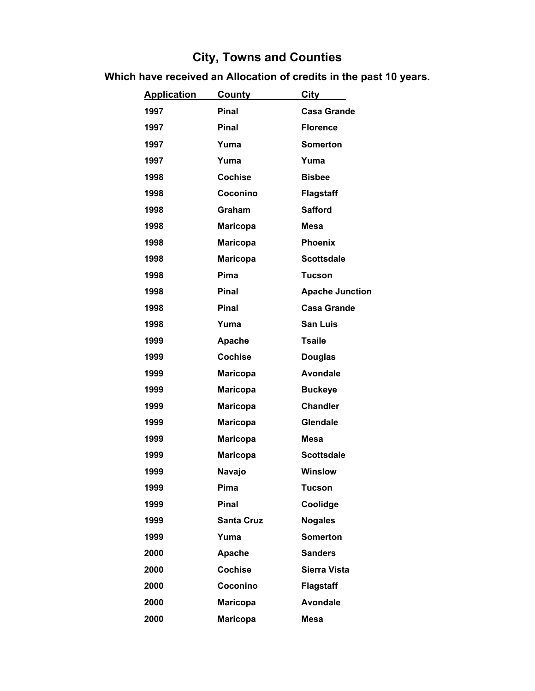| <b>Application</b> | <u>County</u>     | <b>City</b>            |
|--------------------|-------------------|------------------------|
| 1997               | <b>Pinal</b>      | <b>Casa Grande</b>     |
| 1997               | <b>Pinal</b>      | <b>Florence</b>        |
| 1997               | Yuma              | <b>Somerton</b>        |
| 1997               | Yuma              | Yuma                   |
| 1998               | <b>Cochise</b>    | <b>Bisbee</b>          |
| 1998               | Coconino          | <b>Flagstaff</b>       |
| 1998               | Graham            | <b>Safford</b>         |
| 1998               | <b>Maricopa</b>   | <b>Mesa</b>            |
| 1998               | <b>Maricopa</b>   | <b>Phoenix</b>         |
| 1998               | <b>Maricopa</b>   | <b>Scottsdale</b>      |
| 1998               | Pima              | <b>Tucson</b>          |
| 1998               | <b>Pinal</b>      | <b>Apache Junction</b> |
| 1998               | <b>Pinal</b>      | <b>Casa Grande</b>     |
| 1998               | Yuma              | <b>San Luis</b>        |
| 1999               | Apache            | <b>Tsaile</b>          |
| 1999               | <b>Cochise</b>    | <b>Douglas</b>         |
| 1999               | <b>Maricopa</b>   | <b>Avondale</b>        |
| 1999               | <b>Maricopa</b>   | <b>Buckeye</b>         |
| 1999               | <b>Maricopa</b>   | <b>Chandler</b>        |
| 1999               | <b>Maricopa</b>   | Glendale               |
| 1999               | <b>Maricopa</b>   | <b>Mesa</b>            |
| 1999               | <b>Maricopa</b>   | <b>Scottsdale</b>      |
| 1999               | <b>Navajo</b>     | <b>Winslow</b>         |
| 1999               | Pima              | <b>Tucson</b>          |
| 1999               | <b>Pinal</b>      | Coolidge               |
| 1999               | <b>Santa Cruz</b> | <b>Nogales</b>         |
| 1999               | Yuma              | <b>Somerton</b>        |
| 2000               | Apache            | <b>Sanders</b>         |
| 2000               | <b>Cochise</b>    | <b>Sierra Vista</b>    |
| 2000               | Coconino          | <b>Flagstaff</b>       |
| 2000               | <b>Maricopa</b>   | <b>Avondale</b>        |
| 2000               | <b>Maricopa</b>   | <b>Mesa</b>            |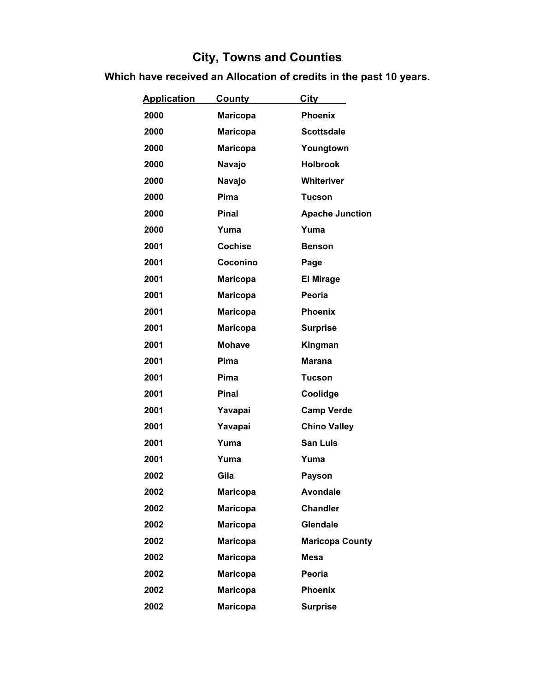| <b>Application</b> | <u>County</u>   | City                   |
|--------------------|-----------------|------------------------|
| 2000               | <b>Maricopa</b> | <b>Phoenix</b>         |
| 2000               | <b>Maricopa</b> | <b>Scottsdale</b>      |
| 2000               | Maricopa        | Youngtown              |
| 2000               | Navajo          | <b>Holbrook</b>        |
| 2000               | Navajo          | Whiteriver             |
| 2000               | Pima            | <b>Tucson</b>          |
| 2000               | <b>Pinal</b>    | <b>Apache Junction</b> |
| 2000               | Yuma            | Yuma                   |
| 2001               | <b>Cochise</b>  | <b>Benson</b>          |
| 2001               | Coconino        | Page                   |
| 2001               | <b>Maricopa</b> | <b>El Mirage</b>       |
| 2001               | Maricopa        | Peoria                 |
| 2001               | <b>Maricopa</b> | <b>Phoenix</b>         |
| 2001               | <b>Maricopa</b> | <b>Surprise</b>        |
| 2001               | <b>Mohave</b>   | Kingman                |
| 2001               | Pima            | <b>Marana</b>          |
| 2001               | Pima            | <b>Tucson</b>          |
| 2001               | <b>Pinal</b>    | Coolidge               |
| 2001               | Yavapai         | <b>Camp Verde</b>      |
| 2001               | Yavapai         | <b>Chino Valley</b>    |
| 2001               | Yuma            | <b>San Luis</b>        |
| 2001               | Yuma            | Yuma                   |
| 2002               | Gila            | <b>Payson</b>          |
| 2002               | <b>Maricopa</b> | <b>Avondale</b>        |
| 2002               | <b>Maricopa</b> | <b>Chandler</b>        |
| 2002               | <b>Maricopa</b> | Glendale               |
| 2002               | <b>Maricopa</b> | <b>Maricopa County</b> |
| 2002               | <b>Maricopa</b> | Mesa                   |
| 2002               | <b>Maricopa</b> | Peoria                 |
| 2002               | <b>Maricopa</b> | <b>Phoenix</b>         |
| 2002               | <b>Maricopa</b> | <b>Surprise</b>        |